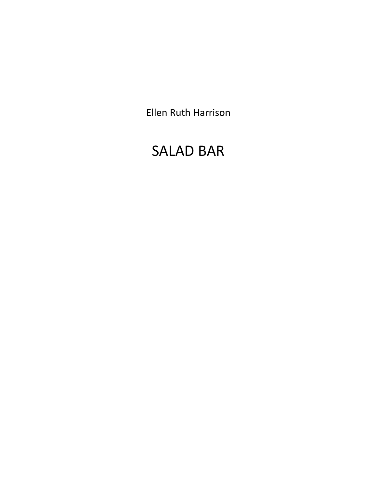Ellen Ruth Harrison

# **SALAD BAR**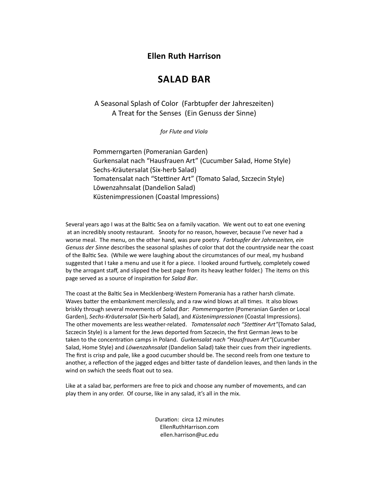#### **Ellen Ruth Harrison**

#### **SALAD BAR**

A Seasonal Splash of Color (Farbtupfer der Jahreszeiten) A Treat for the Senses (Ein Genuss der Sinne)

*for Flute and Viola*

Pommerngarten (Pomeranian Garden) Gurkensalat nach "Hausfrauen Art" (Cucumber Salad, Home Style) Sechs-Kräutersalat (Six-herb Salad) Tomatensalat nach "Stettiner Art" (Tomato Salad, Szczecin Style) Löwenzahnsalat (Dandelion Salad) Küstenimpressionen (Coastal Impressions)

Several years ago I was at the Baltic Sea on a family vacation. We went out to eat one evening at an incredibly snooty restaurant. Snooty for no reason, however, because I've never had a worse meal. The menu, on the other hand, was pure poetry. Farbtupfer der Jahreszeiten, ein Genuss der Sinne describes the seasonal splashes of color that dot the countryside near the coast of the Baltic Sea. (While we were laughing about the circumstances of our meal, my husband suggested that I take a menu and use it for a piece. I looked around furtively, completely cowed by the arrogant staff, and slipped the best page from its heavy leather folder.) The items on this page served as a source of inspiration for *Salad Bar*.

The coast at the Baltic Sea in Mecklenberg-Western Pomerania has a rather harsh climate. Waves batter the embankment mercilessly, and a raw wind blows at all times. It also blows briskly through several movements of *Salad Bar: Pommerngarten* (Pomeranian Garden or Local Garden), Sechs-Kräutersalat (Six-herb Salad), and Küstenimpressionen (Coastal Impressions). The other movements are less weather-related. Tomatensalat nach "Stettiner Art"(Tomato Salad, Szczecin Style) is a lament for the Jews deported from Szczecin, the first German Jews to be taken to the concentration camps in Poland. Gurkensalat nach "Hausfrauen Art"(Cucumber Salad, Home Style) and *Löwenzahnsalat* (Dandelion Salad) take their cues from their ingredients. The first is crisp and pale, like a good cucumber should be. The second reels from one texture to another, a reflection of the jagged edges and bitter taste of dandelion leaves, and then lands in the wind on swhich the seeds float out to sea.

Like at a salad bar, performers are free to pick and choose any number of movements, and can play them in any order. Of course, like in any salad, it's all in the mix.

> Duration: circa 12 minutes EllenRuthHarrison.com ellen.harrison@uc.edu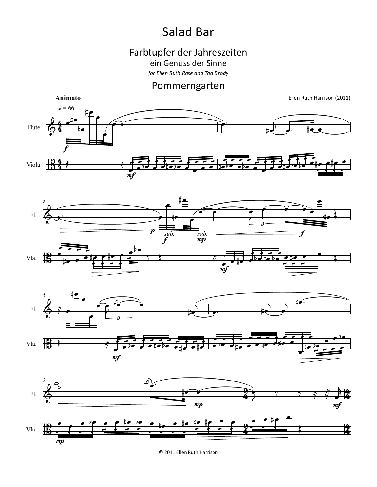## Salad Bar

## Farbtupfer der Jahreszeiten

ein Genuss der Sinne

*for Ellen Ruth Rose and Tod Brody*

#### Pommerngarten









© 2011 Ellen Ruth Harrison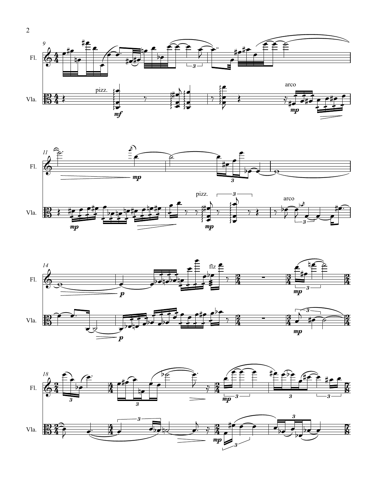







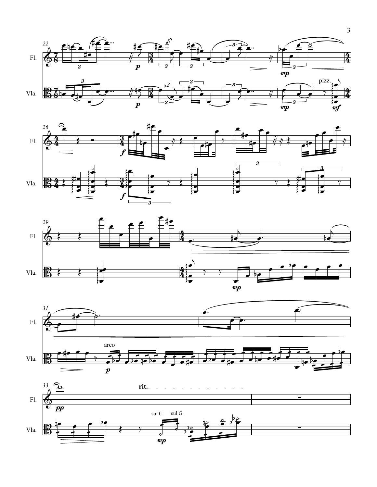







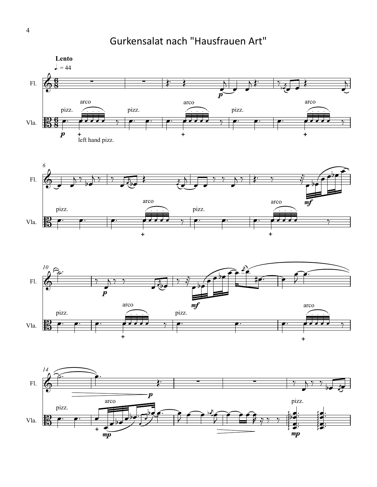Gurkensalat nach "Hausfrauen Art"







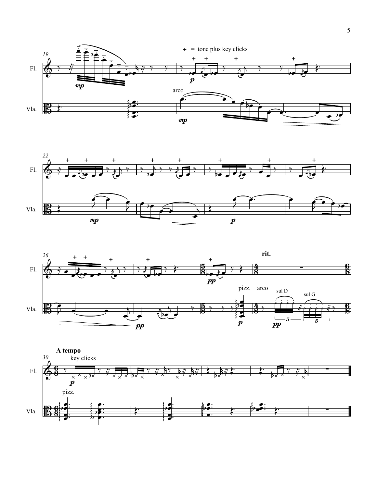





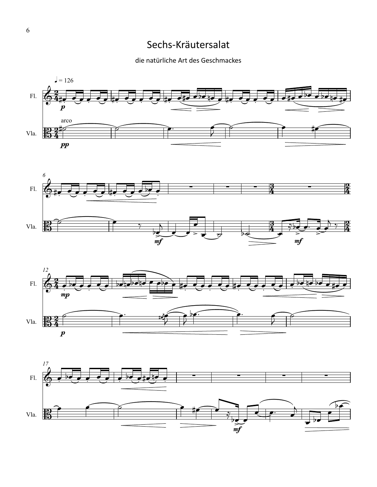### Sechs-Kräutersalat

die natürliche Art des Geschmackes







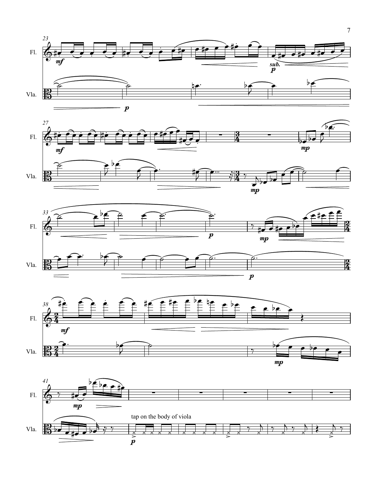







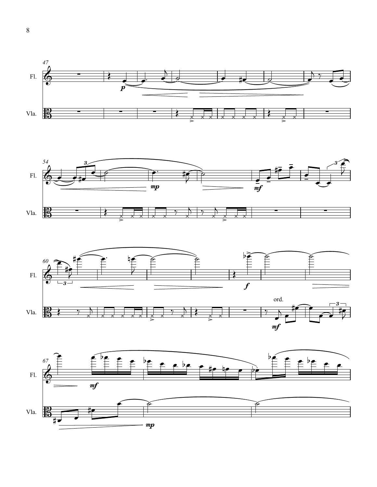





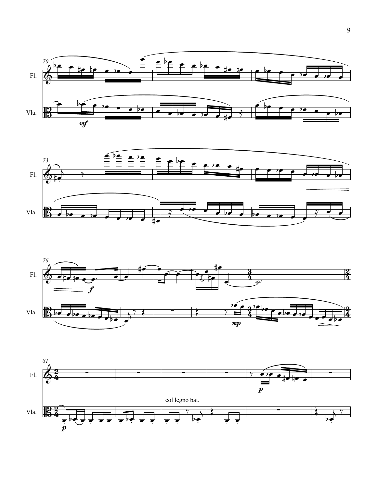





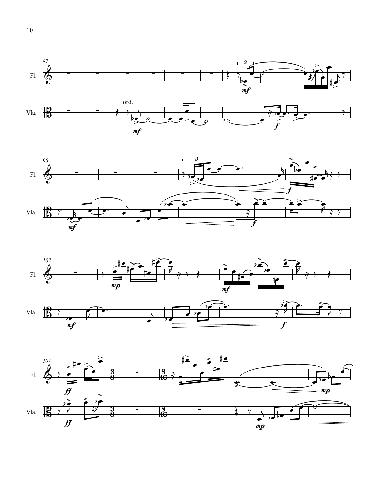





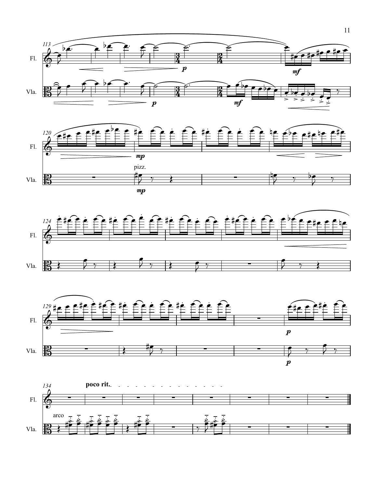







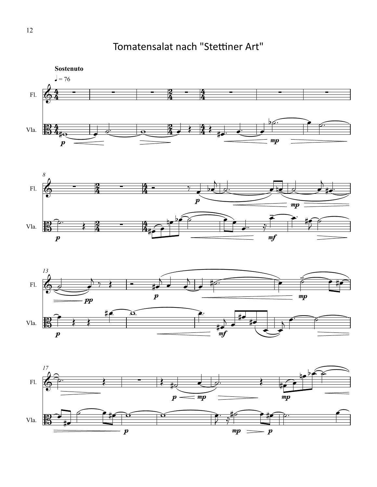Tomatensalat nach "Stettiner Art"







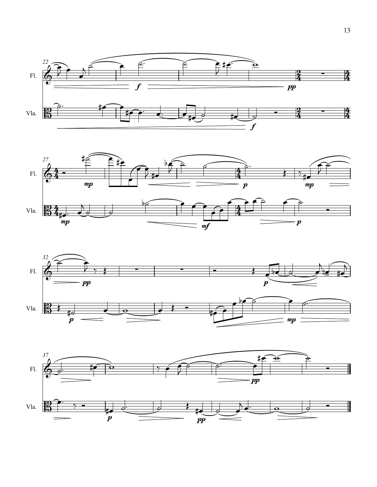





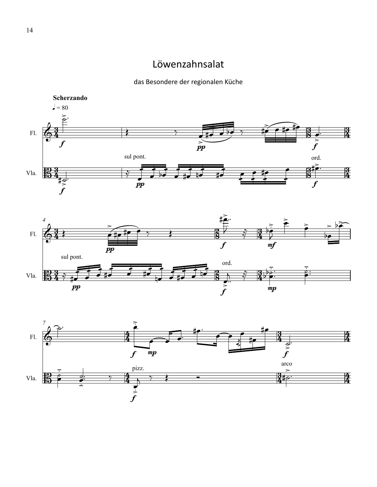### Löwenzahnsalat

das Besondere der regionalen Küche





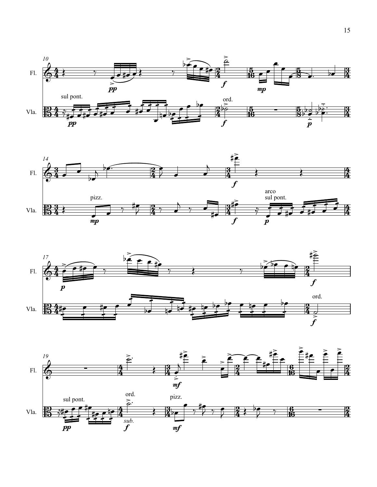





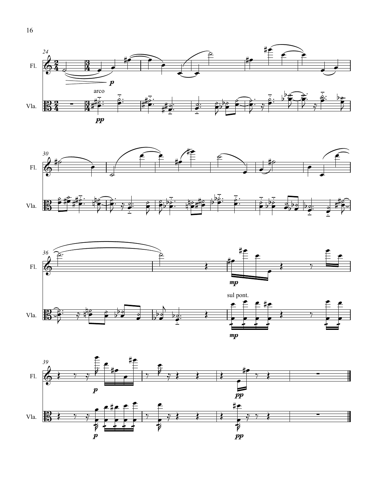





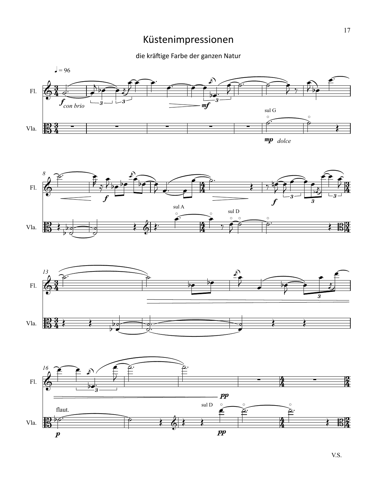## Küstenimpressionen

die kräftige Farbe der ganzen Natur







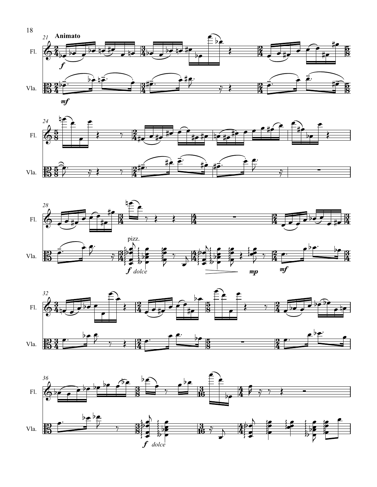







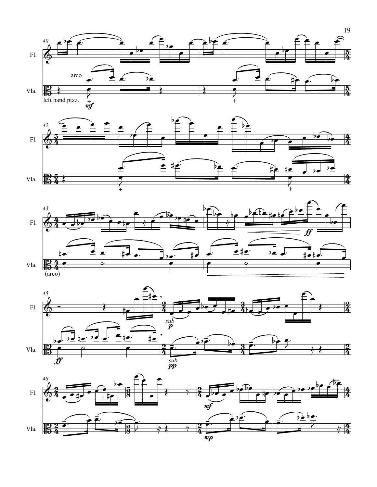